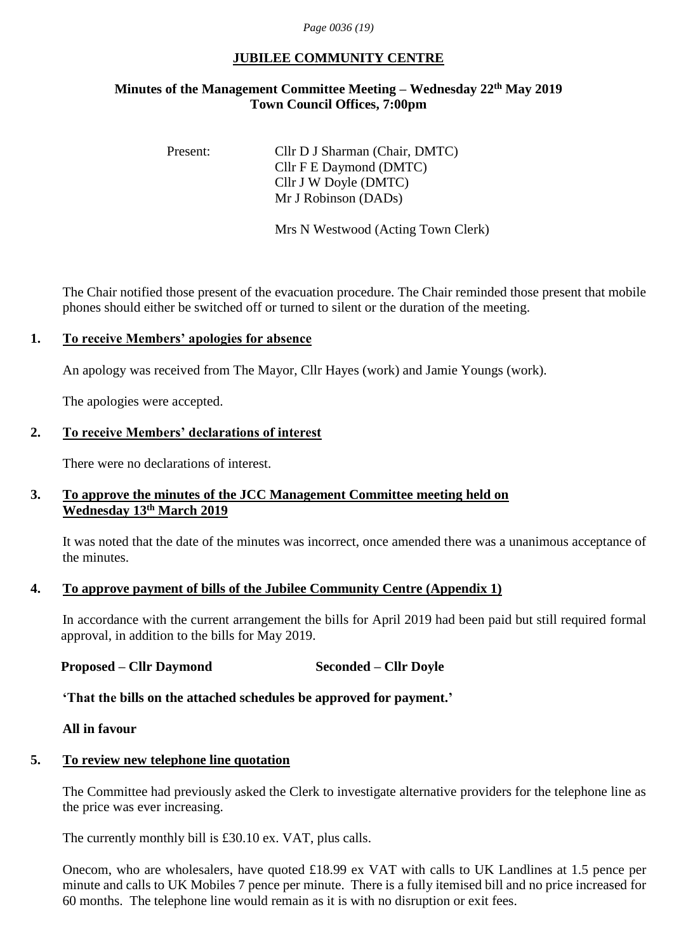#### *Page 0036 (19)*

## **JUBILEE COMMUNITY CENTRE**

# **Minutes of the Management Committee Meeting – Wednesday 22th May 2019 Town Council Offices, 7:00pm**

Present: Cllr D J Sharman (Chair, DMTC) Cllr F E Daymond (DMTC) Cllr J W Doyle (DMTC) Mr J Robinson (DADs)

Mrs N Westwood (Acting Town Clerk)

The Chair notified those present of the evacuation procedure. The Chair reminded those present that mobile phones should either be switched off or turned to silent or the duration of the meeting.

#### **1. To receive Members' apologies for absence**

An apology was received from The Mayor, Cllr Hayes (work) and Jamie Youngs (work).

The apologies were accepted.

#### **2. To receive Members' declarations of interest**

There were no declarations of interest.

## **3. To approve the minutes of the JCC Management Committee meeting held on Wednesday 13 th March 2019**

It was noted that the date of the minutes was incorrect, once amended there was a unanimous acceptance of the minutes.

#### **4. To approve payment of bills of the Jubilee Community Centre (Appendix 1)**

In accordance with the current arrangement the bills for April 2019 had been paid but still required formal approval, in addition to the bills for May 2019.

#### **Proposed – Cllr Daymond Seconded – Cllr Doyle**

**'That the bills on the attached schedules be approved for payment.'**

#### **All in favour**

# **5. To review new telephone line quotation**

The Committee had previously asked the Clerk to investigate alternative providers for the telephone line as the price was ever increasing.

The currently monthly bill is £30.10 ex. VAT, plus calls.

Onecom, who are wholesalers, have quoted £18.99 ex VAT with calls to UK Landlines at 1.5 pence per minute and calls to UK Mobiles 7 pence per minute. There is a fully itemised bill and no price increased for 60 months. The telephone line would remain as it is with no disruption or exit fees.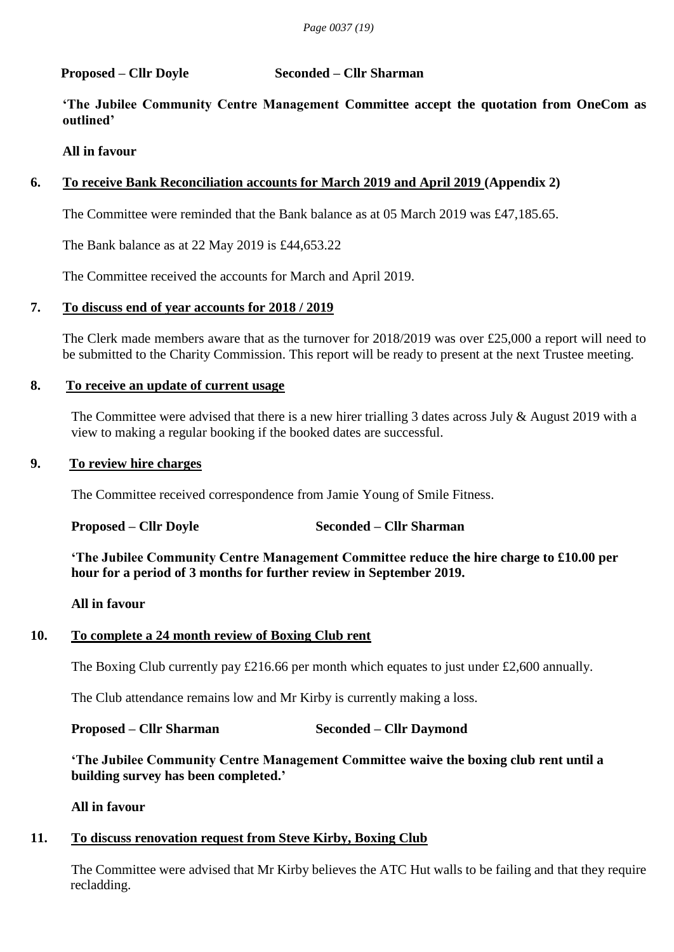## **Proposed – Cllr Doyle Seconded – Cllr Sharman**

**'The Jubilee Community Centre Management Committee accept the quotation from OneCom as outlined'**

# **All in favour**

# **6. To receive Bank Reconciliation accounts for March 2019 and April 2019 (Appendix 2)**

The Committee were reminded that the Bank balance as at 05 March 2019 was £47,185.65.

The Bank balance as at 22 May 2019 is £44,653.22

The Committee received the accounts for March and April 2019.

## **7. To discuss end of year accounts for 2018 / 2019**

The Clerk made members aware that as the turnover for 2018/2019 was over £25,000 a report will need to be submitted to the Charity Commission. This report will be ready to present at the next Trustee meeting.

## **8. To receive an update of current usage**

The Committee were advised that there is a new hirer trialling 3 dates across July & August 2019 with a view to making a regular booking if the booked dates are successful.

## **9. To review hire charges**

The Committee received correspondence from Jamie Young of Smile Fitness.

**Proposed – Cllr Doyle Seconded – Cllr Sharman**

**'The Jubilee Community Centre Management Committee reduce the hire charge to £10.00 per hour for a period of 3 months for further review in September 2019.**

#### **All in favour**

# **10. To complete a 24 month review of Boxing Club rent**

The Boxing Club currently pay £216.66 per month which equates to just under £2,600 annually.

The Club attendance remains low and Mr Kirby is currently making a loss.

#### **Proposed – Cllr Sharman Seconded – Cllr Daymond**

**'The Jubilee Community Centre Management Committee waive the boxing club rent until a building survey has been completed.'**

**All in favour**

# **11. To discuss renovation request from Steve Kirby, Boxing Club**

The Committee were advised that Mr Kirby believes the ATC Hut walls to be failing and that they require recladding.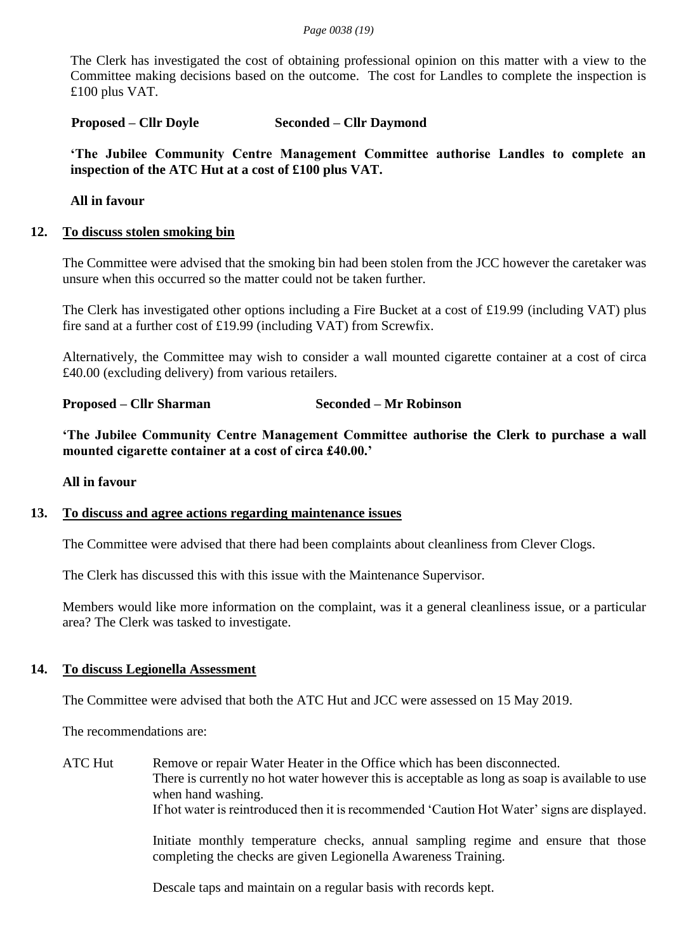The Clerk has investigated the cost of obtaining professional opinion on this matter with a view to the Committee making decisions based on the outcome. The cost for Landles to complete the inspection is £100 plus VAT.

## **Proposed – Cllr Doyle Seconded – Cllr Daymond**

**'The Jubilee Community Centre Management Committee authorise Landles to complete an inspection of the ATC Hut at a cost of £100 plus VAT.**

## **All in favour**

#### **12. To discuss stolen smoking bin**

The Committee were advised that the smoking bin had been stolen from the JCC however the caretaker was unsure when this occurred so the matter could not be taken further.

The Clerk has investigated other options including a Fire Bucket at a cost of £19.99 (including VAT) plus fire sand at a further cost of £19.99 (including VAT) from Screwfix.

Alternatively, the Committee may wish to consider a wall mounted cigarette container at a cost of circa £40.00 (excluding delivery) from various retailers.

# **Proposed – Cllr Sharman Seconded – Mr Robinson**

**'The Jubilee Community Centre Management Committee authorise the Clerk to purchase a wall mounted cigarette container at a cost of circa £40.00.'**

#### **All in favour**

#### **13. To discuss and agree actions regarding maintenance issues**

The Committee were advised that there had been complaints about cleanliness from Clever Clogs.

The Clerk has discussed this with this issue with the Maintenance Supervisor.

Members would like more information on the complaint, was it a general cleanliness issue, or a particular area? The Clerk was tasked to investigate.

#### **14. To discuss Legionella Assessment**

The Committee were advised that both the ATC Hut and JCC were assessed on 15 May 2019.

The recommendations are:

ATC Hut Remove or repair Water Heater in the Office which has been disconnected. There is currently no hot water however this is acceptable as long as soap is available to use when hand washing. If hot water is reintroduced then it is recommended 'Caution Hot Water' signs are displayed.

> Initiate monthly temperature checks, annual sampling regime and ensure that those completing the checks are given Legionella Awareness Training.

Descale taps and maintain on a regular basis with records kept.